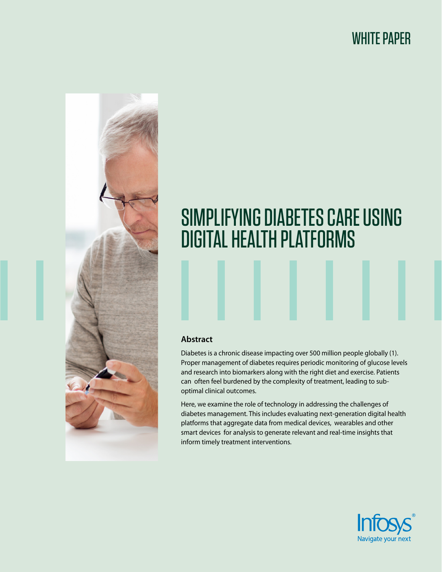# WHITE PAPER



# SIMPLIFYING DIABETES CARE USING DIGITAL HEALTH PLATFORMS

### **Abstract**

Diabetes is a chronic disease impacting over 500 million people globally (1). Proper management of diabetes requires periodic monitoring of glucose levels and research into biomarkers along with the right diet and exercise. Patients can often feel burdened by the complexity of treatment, leading to suboptimal clinical outcomes.

Here, we examine the role of technology in addressing the challenges of diabetes management. This includes evaluating next-generation digital health platforms that aggregate data from medical devices, wearables and other smart devices for analysis to generate relevant and real-time insights that inform timely treatment interventions.

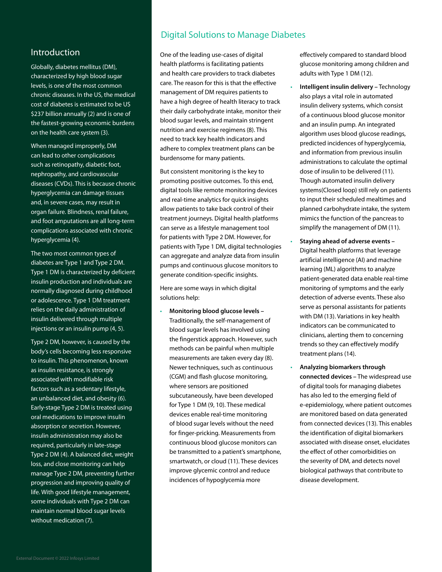### Introduction

Globally, diabetes mellitus (DM), characterized by high blood sugar levels, is one of the most common chronic diseases. In the US, the medical cost of diabetes is estimated to be US \$237 billion annually (2) and is one of the fastest-growing economic burdens on the health care system (3).

When managed improperly, DM can lead to other complications such as retinopathy, diabetic foot, nephropathy, and cardiovascular diseases (CVDs). This is because chronic hyperglycemia can damage tissues and, in severe cases, may result in organ failure. Blindness, renal failure, and foot amputations are all long-term complications associated with chronic hyperglycemia (4).

The two most common types of diabetes are Type 1 and Type 2 DM. Type 1 DM is characterized by deficient insulin production and individuals are normally diagnosed during childhood or adolescence. Type 1 DM treatment relies on the daily administration of insulin delivered through multiple injections or an insulin pump (4, 5).

Type 2 DM, however, is caused by the body's cells becoming less responsive to insulin. This phenomenon, known as insulin resistance, is strongly associated with modifiable risk factors such as a sedentary lifestyle, an unbalanced diet, and obesity (6). Early-stage Type 2 DM is treated using oral medications to improve insulin absorption or secretion. However, insulin administration may also be required, particularly in late-stage Type 2 DM (4). A balanced diet, weight loss, and close monitoring can help manage Type 2 DM, preventing further progression and improving quality of life. With good lifestyle management, some individuals with Type 2 DM can maintain normal blood sugar levels without medication (7).

# Digital Solutions to Manage Diabetes

One of the leading use-cases of digital health platforms is facilitating patients and health care providers to track diabetes care. The reason for this is that the effective management of DM requires patients to have a high degree of health literacy to track their daily carbohydrate intake, monitor their blood sugar levels, and maintain stringent nutrition and exercise regimens (8). This need to track key health indicators and adhere to complex treatment plans can be burdensome for many patients.

But consistent monitoring is the key to promoting positive outcomes. To this end, digital tools like remote monitoring devices and real-time analytics for quick insights allow patients to take back control of their treatment journeys. Digital health platforms can serve as a lifestyle management tool for patients with Type 2 DM. However, for patients with Type 1 DM, digital technologies can aggregate and analyze data from insulin pumps and continuous glucose monitors to generate condition-specific insights.

Here are some ways in which digital solutions help:

• **Monitoring blood glucose levels –** Traditionally, the self-management of blood sugar levels has involved using the fingerstick approach. However, such methods can be painful when multiple measurements are taken every day (8). Newer techniques, such as continuous (CGM) and flash glucose monitoring, where sensors are positioned subcutaneously, have been developed for Type 1 DM (9, 10). These medical devices enable real-time monitoring of blood sugar levels without the need for finger-pricking. Measurements from continuous blood glucose monitors can be transmitted to a patient's smartphone, smartwatch, or cloud (11). These devices improve glycemic control and reduce incidences of hypoglycemia more

effectively compared to standard blood glucose monitoring among children and adults with Type 1 DM (12).

- **Intelligent insulin delivery –** Technology also plays a vital role in automated insulin delivery systems, which consist of a continuous blood glucose monitor and an insulin pump. An integrated algorithm uses blood glucose readings, predicted incidences of hyperglycemia, and information from previous insulin administrations to calculate the optimal dose of insulin to be delivered (11). Though automated insulin delivery systems(Closed loop) still rely on patients to input their scheduled mealtimes and planned carbohydrate intake, the system mimics the function of the pancreas to simplify the management of DM (11).
- **Staying ahead of adverse events –** Digital health platforms that leverage artificial intelligence (AI) and machine learning (ML) algorithms to analyze patient-generated data enable real-time monitoring of symptoms and the early detection of adverse events. These also serve as personal assistants for patients with DM (13). Variations in key health indicators can be communicated to clinicians, alerting them to concerning trends so they can effectively modify treatment plans (14).
- **Analyzing biomarkers through connected devices –** The widespread use of digital tools for managing diabetes has also led to the emerging field of e-epidemiology, where patient outcomes are monitored based on data generated from connected devices (13). This enables the identification of digital biomarkers associated with disease onset, elucidates the effect of other comorbidities on the severity of DM, and detects novel biological pathways that contribute to disease development.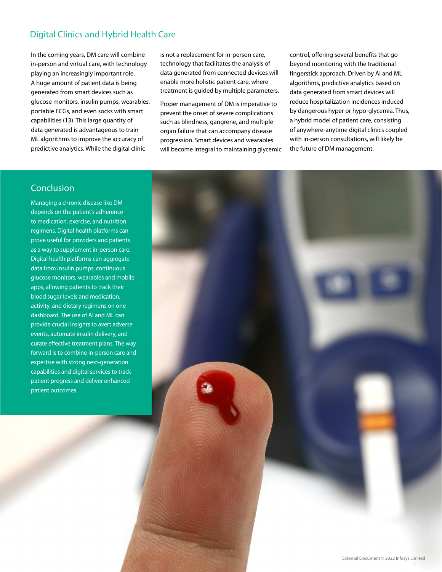# Digital Clinics and Hybrid Health Care

In the coming years, DM care will combine in-person and virtual care, with technology playing an increasingly important role. A huge amount of patient data is being generated from smart devices such as glucose monitors, insulin pumps, wearables, portable ECGs, and even socks with smart capabilities (13). This large quantity of data generated is advantageous to train ML algorithms to improve the accuracy of predictive analytics. While the digital clinic

is not a replacement for in-person care, technology that facilitates the analysis of data generated from connected devices will enable more holistic patient care, where treatment is guided by multiple parameters.

Proper management of DM is imperative to prevent the onset of severe complications such as blindness, gangrene, and multiple organ failure that can accompany disease progression. Smart devices and wearables will become integral to maintaining glycemic

control, offering several benefits that go beyond monitoring with the traditional fingerstick approach. Driven by AI and ML algorithms, predictive analytics based on data generated from smart devices will reduce hospitalization incidences induced by dangerous hyper or hypo-glycemia. Thus, a hybrid model of patient care, consisting of anywhere-anytime digital clinics coupled with in-person consultations, will likely be the future of DM management.

# Conclusion

Managing a chronic disease like DM depends on the patient's adherence to medication, exercise, and nutrition regimens. Digital health platforms can prove useful for providers and patients as a way to supplement in-person care. Digital health platforms can aggregate data from insulin pumps, continuous glucose monitors, wearables and mobile apps, allowing patients to track their blood sugar levels and medication, activity, and dietary regimens on one dashboard. The use of AI and ML can provide crucial insights to avert adverse events, automate insulin delivery, and curate effective treatment plans. The way forward is to combine in-person care and expertise with strong next-generation capabilities and digital services to track patient progress and deliver enhanced patient outcomes.